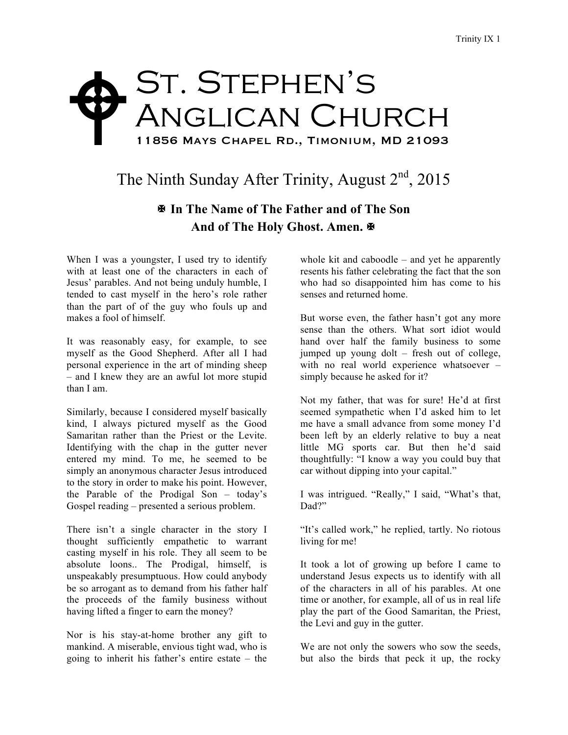## St. Stephen's Anglican Church 11856 Mays Chapel Rd., Timonium, MD 21093  $\blacklozenge$

## The Ninth Sunday After Trinity, August  $2<sup>nd</sup>$ , 2015

## X **In The Name of The Father and of The Son** And of The Holy Ghost. Amen. **※**

When I was a youngster, I used try to identify with at least one of the characters in each of Jesus' parables. And not being unduly humble, I tended to cast myself in the hero's role rather than the part of of the guy who fouls up and makes a fool of himself.

It was reasonably easy, for example, to see myself as the Good Shepherd. After all I had personal experience in the art of minding sheep – and I knew they are an awful lot more stupid than I am.

Similarly, because I considered myself basically kind, I always pictured myself as the Good Samaritan rather than the Priest or the Levite. Identifying with the chap in the gutter never entered my mind. To me, he seemed to be simply an anonymous character Jesus introduced to the story in order to make his point. However, the Parable of the Prodigal Son – today's Gospel reading – presented a serious problem.

There isn't a single character in the story I thought sufficiently empathetic to warrant casting myself in his role. They all seem to be absolute loons.. The Prodigal, himself, is unspeakably presumptuous. How could anybody be so arrogant as to demand from his father half the proceeds of the family business without having lifted a finger to earn the money?

Nor is his stay-at-home brother any gift to mankind. A miserable, envious tight wad, who is going to inherit his father's entire estate – the

whole kit and caboodle – and yet he apparently resents his father celebrating the fact that the son who had so disappointed him has come to his senses and returned home.

But worse even, the father hasn't got any more sense than the others. What sort idiot would hand over half the family business to some jumped up young dolt – fresh out of college, with no real world experience whatsoever – simply because he asked for it?

Not my father, that was for sure! He'd at first seemed sympathetic when I'd asked him to let me have a small advance from some money I'd been left by an elderly relative to buy a neat little MG sports car. But then he'd said thoughtfully: "I know a way you could buy that car without dipping into your capital."

I was intrigued. "Really," I said, "What's that, Dad?"

"It's called work," he replied, tartly. No riotous living for me!

It took a lot of growing up before I came to understand Jesus expects us to identify with all of the characters in all of his parables. At one time or another, for example, all of us in real life play the part of the Good Samaritan, the Priest, the Levi and guy in the gutter.

We are not only the sowers who sow the seeds, but also the birds that peck it up, the rocky